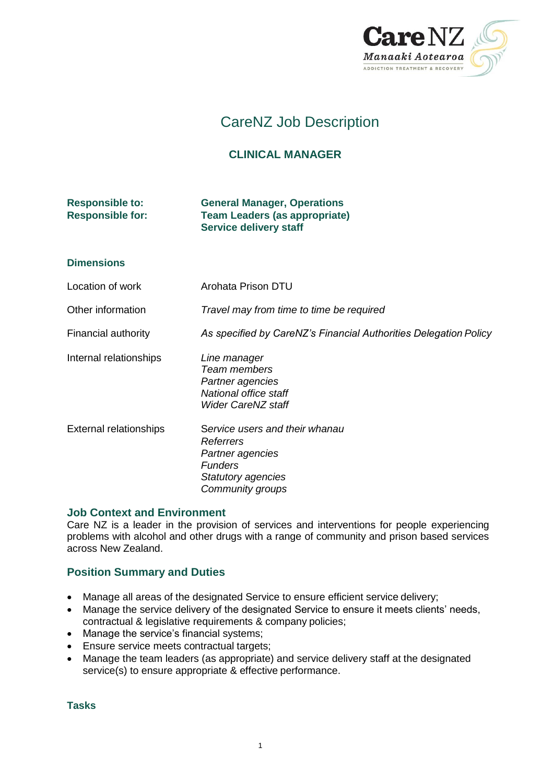

# CareNZ Job Description

# **CLINICAL MANAGER**

# **Responsible to: General Manager, Operations Responsible for: Team Leaders (as appropriate) Service delivery staff**

## **Dimensions**

Location of work **Arohata Prison DTU** 

Other information *Travel may from time to time be required*

Financial authority *As specified by CareNZ's Financial Authorities Delegation Policy*

Internal relationships *Line manager*

*Team members Partner agencies National office staff Wider CareNZ staff*

External relationships S*ervice users and their whanau Referrers Partner agencies Funders Statutory agencies Community groups*

## **Job Context and Environment**

Care NZ is a leader in the provision of services and interventions for people experiencing problems with alcohol and other drugs with a range of community and prison based services across New Zealand.

# **Position Summary and Duties**

- Manage all areas of the designated Service to ensure efficient service delivery;
- Manage the service delivery of the designated Service to ensure it meets clients' needs, contractual & legislative requirements & company policies;
- Manage the service's financial systems;
- Ensure service meets contractual targets;
- Manage the team leaders (as appropriate) and service delivery staff at the designated service(s) to ensure appropriate & effective performance.

**Tasks**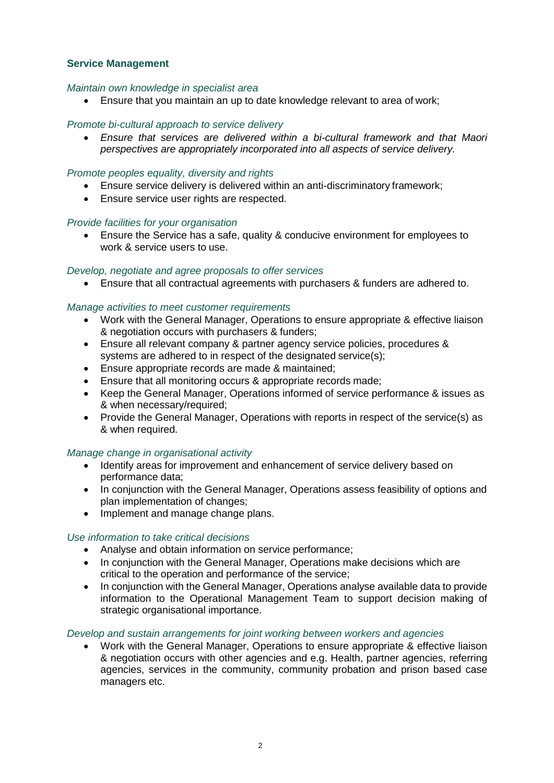## **Service Management**

#### *Maintain own knowledge in specialist area*

Ensure that you maintain an up to date knowledge relevant to area of work;

## *Promote bi-cultural approach to service delivery*

 *Ensure that services are delivered within a bi-cultural framework and that Maori perspectives are appropriately incorporated into all aspects of service delivery.*

## *Promote peoples equality, diversity and rights*

- Ensure service delivery is delivered within an anti-discriminatory framework;
- Ensure service user rights are respected.

#### *Provide facilities for your organisation*

 Ensure the Service has a safe, quality & conducive environment for employees to work & service users to use.

#### *Develop, negotiate and agree proposals to offer services*

Ensure that all contractual agreements with purchasers & funders are adhered to.

#### *Manage activities to meet customer requirements*

- Work with the General Manager, Operations to ensure appropriate & effective liaison & negotiation occurs with purchasers & funders;
- Ensure all relevant company & partner agency service policies, procedures & systems are adhered to in respect of the designated service(s);
- Ensure appropriate records are made & maintained;
- Ensure that all monitoring occurs & appropriate records made;
- Keep the General Manager, Operations informed of service performance & issues as & when necessary/required;
- Provide the General Manager, Operations with reports in respect of the service(s) as & when required.

## *Manage change in organisational activity*

- Identify areas for improvement and enhancement of service delivery based on performance data;
- In conjunction with the General Manager, Operations assess feasibility of options and plan implementation of changes;
- Implement and manage change plans.

#### *Use information to take critical decisions*

- Analyse and obtain information on service performance;
- In conjunction with the General Manager, Operations make decisions which are critical to the operation and performance of the service;
- In conjunction with the General Manager, Operations analyse available data to provide information to the Operational Management Team to support decision making of strategic organisational importance.

#### *Develop and sustain arrangements for joint working between workers and agencies*

 Work with the General Manager, Operations to ensure appropriate & effective liaison & negotiation occurs with other agencies and e.g. Health, partner agencies, referring agencies, services in the community, community probation and prison based case managers etc.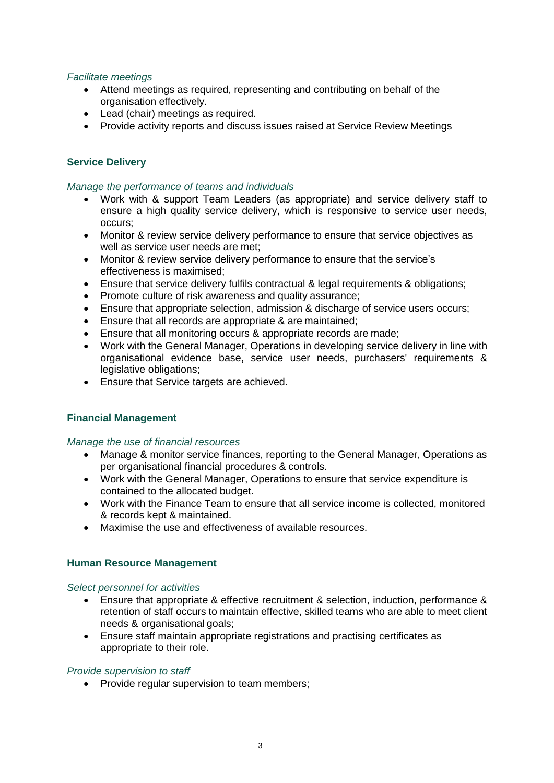## *Facilitate meetings*

- Attend meetings as required, representing and contributing on behalf of the organisation effectively.
- Lead (chair) meetings as required.
- Provide activity reports and discuss issues raised at Service Review Meetings

# **Service Delivery**

#### *Manage the performance of teams and individuals*

- Work with & support Team Leaders (as appropriate) and service delivery staff to ensure a high quality service delivery, which is responsive to service user needs, occurs;
- Monitor & review service delivery performance to ensure that service objectives as well as service user needs are met;
- Monitor & review service delivery performance to ensure that the service's effectiveness is maximised;
- Ensure that service delivery fulfils contractual & legal requirements & obligations;
- Promote culture of risk awareness and quality assurance;
- Ensure that appropriate selection, admission & discharge of service users occurs;
- Ensure that all records are appropriate & are maintained;
- Ensure that all monitoring occurs & appropriate records are made;
- Work with the General Manager, Operations in developing service delivery in line with organisational evidence base**,** service user needs, purchasers' requirements & legislative obligations;
- Ensure that Service targets are achieved.

## **Financial Management**

#### *Manage the use of financial resources*

- Manage & monitor service finances, reporting to the General Manager, Operations as per organisational financial procedures & controls.
- Work with the General Manager, Operations to ensure that service expenditure is contained to the allocated budget.
- Work with the Finance Team to ensure that all service income is collected, monitored & records kept & maintained.
- Maximise the use and effectiveness of available resources.

#### **Human Resource Management**

#### *Select personnel for activities*

- Ensure that appropriate & effective recruitment & selection, induction, performance & retention of staff occurs to maintain effective, skilled teams who are able to meet client needs & organisational goals;
- Ensure staff maintain appropriate registrations and practising certificates as appropriate to their role.

#### *Provide supervision to staff*

• Provide regular supervision to team members;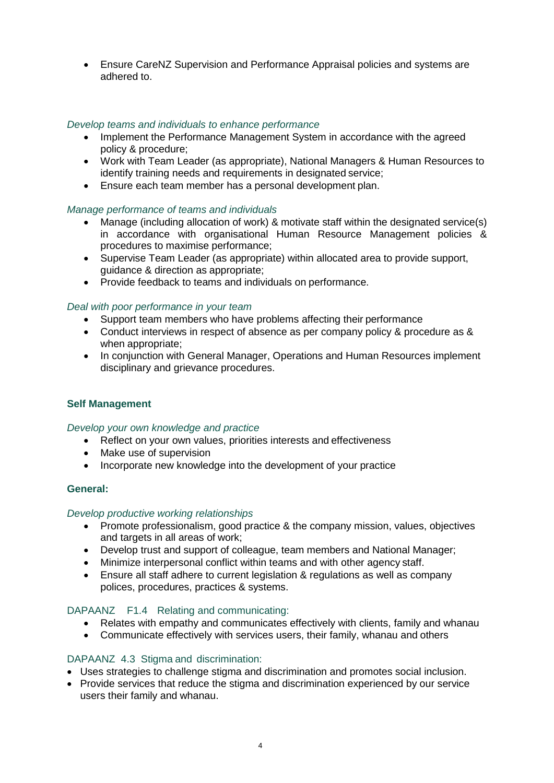Ensure CareNZ Supervision and Performance Appraisal policies and systems are adhered to.

## *Develop teams and individuals to enhance performance*

- Implement the Performance Management System in accordance with the agreed policy & procedure;
- Work with Team Leader (as appropriate), National Managers & Human Resources to identify training needs and requirements in designated service;
- Ensure each team member has a personal development plan.

#### *Manage performance of teams and individuals*

- Manage (including allocation of work) & motivate staff within the designated service(s) in accordance with organisational Human Resource Management policies & procedures to maximise performance;
- Supervise Team Leader (as appropriate) within allocated area to provide support, guidance & direction as appropriate;
- Provide feedback to teams and individuals on performance.

#### *Deal with poor performance in your team*

- Support team members who have problems affecting their performance
- Conduct interviews in respect of absence as per company policy & procedure as & when appropriate;
- In conjunction with General Manager, Operations and Human Resources implement disciplinary and grievance procedures.

## **Self Management**

#### *Develop your own knowledge and practice*

- Reflect on your own values, priorities interests and effectiveness
- Make use of supervision
- Incorporate new knowledge into the development of your practice

#### **General:**

#### *Develop productive working relationships*

- Promote professionalism, good practice & the company mission, values, objectives and targets in all areas of work;
- Develop trust and support of colleague, team members and National Manager;
- Minimize interpersonal conflict within teams and with other agency staff.
- Ensure all staff adhere to current legislation & regulations as well as company polices, procedures, practices & systems.

#### DAPAANZ F1.4 Relating and communicating:

- Relates with empathy and communicates effectively with clients, family and whanau
- Communicate effectively with services users, their family, whanau and others

## DAPAANZ 4.3 Stigma and discrimination:

- Uses strategies to challenge stigma and discrimination and promotes social inclusion.
- Provide services that reduce the stigma and discrimination experienced by our service users their family and whanau.